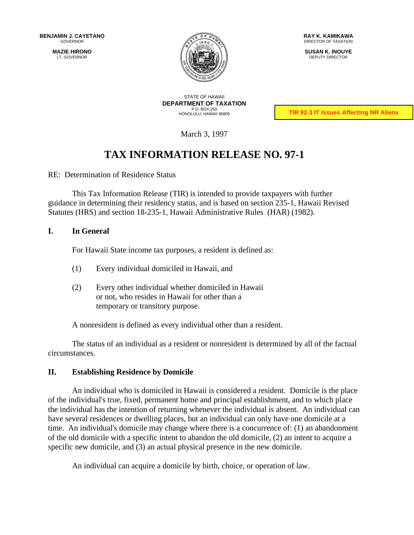<span id="page-0-2"></span><span id="page-0-1"></span><span id="page-0-0"></span>**MAZIE HIRONO** LT. GOVERNOR



**RAY K. KAMIKAWA** DIRECTOR OF TAXATION

**SUSAN K. INOUYE** DEPUTY DIRECTOR

STATE OF HAWAII **DEPARTMENT OF TAXATION** P.O. BOX 259 HONOLULU, HAWAII 96809

**TIR 92-3 IT Issues Affecting NR Aliens**

March 3, 1997

# **TAX INFORMATION RELEASE NO. 97-1**

RE: Determination of Residence Status

This Tax Information Release (TIR) is intended to provide taxpayers with further guidance in determining their residency status, and is based on section 235-1, Hawaii Revised Statutes (HRS) and section 18-235-1, Hawaii Administrative Rules (HAR) (1982).

# **I. In General**

For Hawaii State income tax purposes, a resident is defined as:

- (1) Every individual domiciled in Hawaii, and
- (2) Every other individual whether domiciled in Hawaii or not, who resides in Hawaii for other than a temporary or transitory purpose.

A nonresident is defined as every individual other than a resident.

The status of an individual as a resident or nonresident is determined by all of the factual circumstances.

# **II. Establishing Residence by Domicile**

An individual who is domiciled in Hawaii is considered a resident. Domicile is the place of the individual's true, fixed, permanent home and principal establishment, and to which place the individual has the intention of returning whenever the individual is absent. An individual can have several residences or dwelling places, but an individual can only have one domicile at a time. An individual's domicile may change where there is a concurrence of: (1) an abandonment of the old domicile with a specific intent to abandon the old domicile, (2) an intent to acquire a specific new domicile, and (3) an actual physical presence in the new domicile.

An individual can acquire a domicile by birth, choice, or operation of law.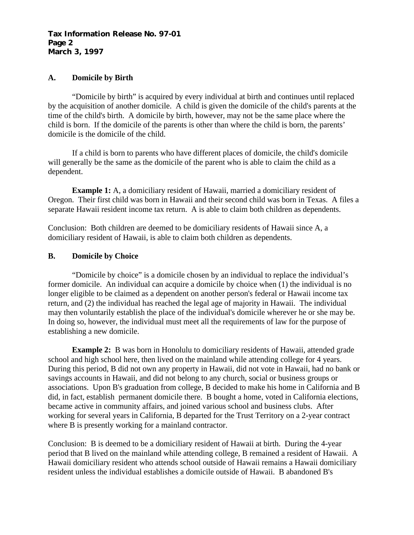## **Tax Information Release No. 97-01 Page 2 March 3, 1997**

# **A. Domicile by Birth**

"Domicile by birth" is acquired by every individual at birth and continues until replaced by the acquisition of another domicile. A child is given the domicile of the child's parents at the time of the child's birth. A domicile by birth, however, may not be the same place where the child is born. If the domicile of the parents is other than where the child is born, the parents' domicile is the domicile of the child.

If a child is born to parents who have different places of domicile, the child's domicile will generally be the same as the domicile of the parent who is able to claim the child as a dependent.

**Example 1:** A, a domiciliary resident of Hawaii, married a domiciliary resident of Oregon. Their first child was born in Hawaii and their second child was born in Texas. A files a separate Hawaii resident income tax return. A is able to claim both children as dependents.

Conclusion: Both children are deemed to be domiciliary residents of Hawaii since A, a domiciliary resident of Hawaii, is able to claim both children as dependents.

# **B. Domicile by Choice**

"Domicile by choice" is a domicile chosen by an individual to replace the individual's former domicile. An individual can acquire a domicile by choice when (1) the individual is no longer eligible to be claimed as a dependent on another person's federal or Hawaii income tax return, and (2) the individual has reached the legal age of majority in Hawaii. The individual may then voluntarily establish the place of the individual's domicile wherever he or she may be. In doing so, however, the individual must meet all the requirements of law for the purpose of establishing a new domicile.

**Example 2:** B was born in Honolulu to domiciliary residents of Hawaii, attended grade school and high school here, then lived on the mainland while attending college for 4 years. During this period, B did not own any property in Hawaii, did not vote in Hawaii, had no bank or savings accounts in Hawaii, and did not belong to any church, social or business groups or associations. Upon B's graduation from college, B decided to make his home in California and B did, in fact, establish permanent domicile there. B bought a home, voted in California elections, became active in community affairs, and joined various school and business clubs. After working for several years in California, B departed for the Trust Territory on a 2-year contract where B is presently working for a mainland contractor.

Conclusion: B is deemed to be a domiciliary resident of Hawaii at birth. During the 4-year period that B lived on the mainland while attending college, B remained a resident of Hawaii. A Hawaii domiciliary resident who attends school outside of Hawaii remains a Hawaii domiciliary resident unless the individual establishes a domicile outside of Hawaii. B abandoned B's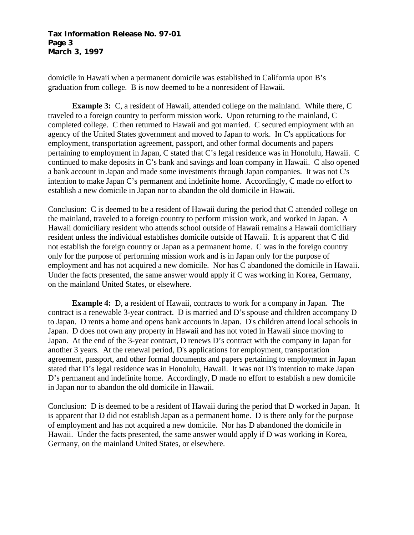## **Tax Information Release No. 97-01 Page 3 March 3, 1997**

domicile in Hawaii when a permanent domicile was established in California upon B's graduation from college. B is now deemed to be a nonresident of Hawaii.

**Example 3:** C, a resident of Hawaii, attended college on the mainland. While there, C traveled to a foreign country to perform mission work. Upon returning to the mainland, C completed college. C then returned to Hawaii and got married. C secured employment with an agency of the United States government and moved to Japan to work. In C's applications for employment, transportation agreement, passport, and other formal documents and papers pertaining to employment in Japan, C stated that C's legal residence was in Honolulu, Hawaii. C continued to make deposits in C's bank and savings and loan company in Hawaii. C also opened a bank account in Japan and made some investments through Japan companies. It was not C's intention to make Japan C's permanent and indefinite home. Accordingly, C made no effort to establish a new domicile in Japan nor to abandon the old domicile in Hawaii.

Conclusion: C is deemed to be a resident of Hawaii during the period that C attended college on the mainland, traveled to a foreign country to perform mission work, and worked in Japan. A Hawaii domiciliary resident who attends school outside of Hawaii remains a Hawaii domiciliary resident unless the individual establishes domicile outside of Hawaii. It is apparent that C did not establish the foreign country or Japan as a permanent home. C was in the foreign country only for the purpose of performing mission work and is in Japan only for the purpose of employment and has not acquired a new domicile. Nor has C abandoned the domicile in Hawaii. Under the facts presented, the same answer would apply if C was working in Korea, Germany, on the mainland United States, or elsewhere.

**Example 4:** D, a resident of Hawaii, contracts to work for a company in Japan. The contract is a renewable 3-year contract. D is married and D's spouse and children accompany D to Japan. D rents a home and opens bank accounts in Japan. D's children attend local schools in Japan. D does not own any property in Hawaii and has not voted in Hawaii since moving to Japan. At the end of the 3-year contract, D renews D's contract with the company in Japan for another 3 years. At the renewal period, D's applications for employment, transportation agreement, passport, and other formal documents and papers pertaining to employment in Japan stated that D's legal residence was in Honolulu, Hawaii. It was not D's intention to make Japan D's permanent and indefinite home. Accordingly, D made no effort to establish a new domicile in Japan nor to abandon the old domicile in Hawaii.

Conclusion: D is deemed to be a resident of Hawaii during the period that D worked in Japan. It is apparent that D did not establish Japan as a permanent home. D is there only for the purpose of employment and has not acquired a new domicile. Nor has D abandoned the domicile in Hawaii. Under the facts presented, the same answer would apply if D was working in Korea, Germany, on the mainland United States, or elsewhere.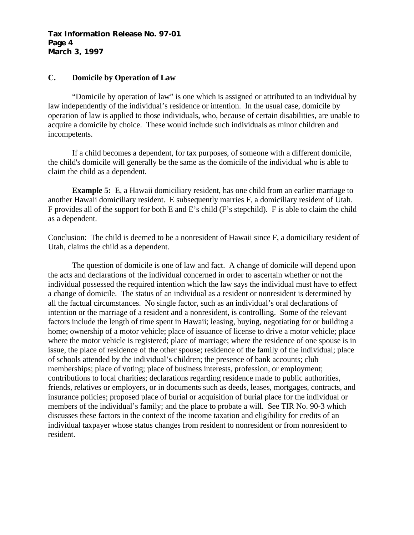## **Tax Information Release No. 97-01 Page 4 March 3, 1997**

# **C. Domicile by Operation of Law**

<span id="page-3-0"></span>"Domicile by operation of law" is one which is assigned or attributed to an individual by law independently of the individual's residence or intention. In the usual case, domicile by operation of law is applied to those individuals, who, because of certain disabilities, are unable to acquire a domicile by choice. These would include such individuals as minor children and incompetents.

If a child becomes a dependent, for tax purposes, of someone with a different domicile, the child's domicile will generally be the same as the domicile of the individual who is able to claim the child as a dependent.

**Example 5:** E, a Hawaii domiciliary resident, has one child from an earlier marriage to another Hawaii domiciliary resident. E subsequently marries F, a domiciliary resident of Utah. F provides all of the support for both E and E's child (F's stepchild). F is able to claim the child as a dependent.

Conclusion: The child is deemed to be a nonresident of Hawaii since F, a domiciliary resident of Utah, claims the child as a dependent.

The question of domicile is one of law and fact. A change of domicile will depend upon the acts and declarations of the individual concerned in order to ascertain whether or not the individual possessed the required intention which the law says the individual must have to effect a change of domicile. The status of an individual as a resident or nonresident is determined by all the factual circumstances. No single factor, such as an individual's oral declarations of intention or the marriage of a resident and a nonresident, is controlling. Some of the relevant factors include the length of time spent in Hawaii; leasing, buying, negotiating for or building a home; ownership of a motor vehicle; place of issuance of license to drive a motor vehicle; place where the motor vehicle is registered; place of marriage; where the residence of one spouse is in issue, the place of residence of the other spouse; residence of the family of the individual; place of schools attended by the individual's children; the presence of bank accounts; club memberships; place of voting; place of business interests, profession, or employment; contributions to local charities; declarations regarding residence made to public authorities, friends, relatives or employers, or in documents such as deeds, leases, mortgages, contracts, and insurance policies; proposed place of burial or acquisition of burial place for the individual or members of the individual's family; and the place to probate a will. See TIR No. 90-3 which discusses these factors in the context of the income taxation and eligibility for credits of an individual taxpayer whose status changes from resident to nonresident or from nonresident to resident.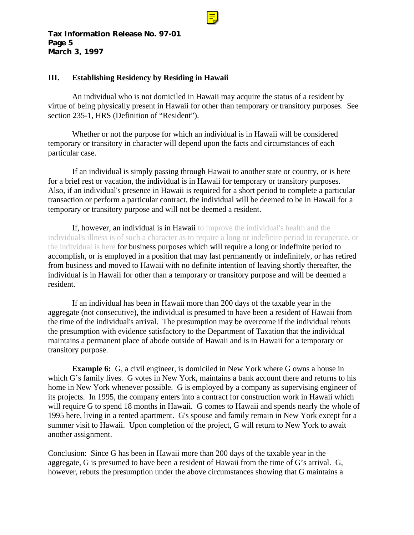

## **III. Establishing Residency by Residing in Hawaii**

An individual who is not domiciled in Hawaii may acquire the status of a resident by virtue of being physically present in Hawaii for other than temporary or transitory purposes. See section 235-1, HRS (Definition of "Resident").

Whether or not the purpose for which an individual is in Hawaii will be considered temporary or transitory in character will depend upon the facts and circumstances of each particular case.

If an individual is simply passing through Hawaii to another state or country, or is here for a brief rest or vacation, the individual is in Hawaii for temporary or transitory purposes. Also, if an individual's presence in Hawaii is required for a short period to complete a particular transaction or perform a particular contract, the individual will be deemed to be in Hawaii for a temporary or transitory purpose and will not be deemed a resident.

If, however, an individual is in Hawaii to improve the individual's health and the individual's illness is of such a character as to require a long or indefinite period to recuperate, or the individual is here for business purposes which will require a long or indefinite period to accomplish, or is employed in a position that may last permanently or indefinitely, or has retired from business and moved to Hawaii with no definite intention of leaving shortly thereafter, the individual is in Hawaii for other than a temporary or transitory purpose and will be deemed a resident.

If an individual has been in Hawaii more than 200 days of the taxable year in the aggregate (not consecutive), the individual is presumed to have been a resident of Hawaii from the time of the individual's arrival. The presumption may be overcome if the individual rebuts the presumption with evidence satisfactory to the Department of Taxation that the individual maintains a permanent place of abode outside of Hawaii and is in Hawaii for a temporary or transitory purpose.

**Example 6:** G, a civil engineer, is domiciled in New York where G owns a house in which G's family lives. G votes in New York, maintains a bank account there and returns to his home in New York whenever possible. G is employed by a company as supervising engineer of its projects. In 1995, the company enters into a contract for construction work in Hawaii which will require G to spend 18 months in Hawaii. G comes to Hawaii and spends nearly the whole of 1995 here, living in a rented apartment. G's spouse and family remain in New York except for a summer visit to Hawaii. Upon completion of the project, G will return to New York to await another assignment.

Conclusion: Since G has been in Hawaii more than 200 days of the taxable year in the aggregate, G is presumed to have been a resident of Hawaii from the time of G's arrival. G, however, rebuts the presumption under the above circumstances showing that G maintains a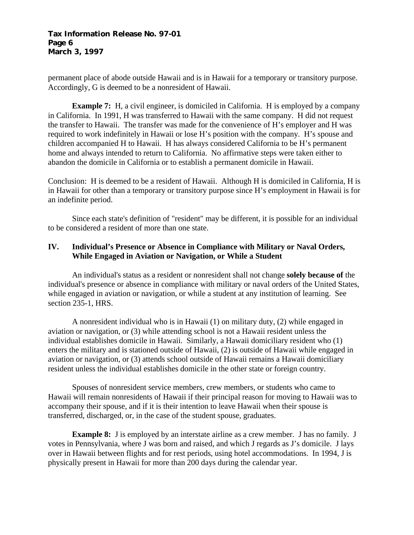# <span id="page-5-0"></span>**Tax Information Release No. 97-01 Page 6 March 3, 1997**

permanent place of abode outside Hawaii and is in Hawaii for a temporary or transitory purpose. Accordingly, G is deemed to be a nonresident of Hawaii.

**Example 7:** H, a civil engineer, is domiciled in California. H is employed by a company in California. In 1991, H was transferred to Hawaii with the same company. H did not request the transfer to Hawaii. The transfer was made for the convenience of H's employer and H was required to work indefinitely in Hawaii or lose H's position with the company. H's spouse and children accompanied H to Hawaii. H has always considered California to be H's permanent home and always intended to return to California. No affirmative steps were taken either to abandon the domicile in California or to establish a permanent domicile in Hawaii.

Conclusion: H is deemed to be a resident of Hawaii. Although H is domiciled in California, H is in Hawaii for other than a temporary or transitory purpose since H's employment in Hawaii is for an indefinite period.

Since each state's definition of "resident" may be different, it is possible for an individual to be considered a resident of more than one state.

# **IV. Individual's Presence or Absence in Compliance with Military or Naval Orders, While Engaged in Aviation or Navigation, or While a Student**

An individual's status as a resident or nonresident shall not change **solely because of** the individual's presence or absence in compliance with military or naval orders of the United States, while engaged in aviation or navigation, or while a student at any institution of learning. See section 235-1, HRS.

A nonresident individual who is in Hawaii (1) on military duty, (2) while engaged in aviation or navigation, or (3) while attending school is not a Hawaii resident unless the individual establishes domicile in Hawaii. Similarly, a Hawaii domiciliary resident who (1) enters the military and is stationed outside of Hawaii, (2) is outside of Hawaii while engaged in aviation or navigation, or (3) attends school outside of Hawaii remains a Hawaii domiciliary resident unless the individual establishes domicile in the other state or foreign country.

Spouses of nonresident service members, crew members, or students who came to Hawaii will remain nonresidents of Hawaii if their principal reason for moving to Hawaii was to accompany their spouse, and if it is their intention to leave Hawaii when their spouse is transferred, discharged, or, in the case of the student spouse, graduates.

**Example 8:** J is employed by an interstate airline as a crew member. J has no family. J votes in Pennsylvania, where J was born and raised, and which J regards as J's domicile. J lays over in Hawaii between flights and for rest periods, using hotel accommodations. In 1994, J is physically present in Hawaii for more than 200 days during the calendar year.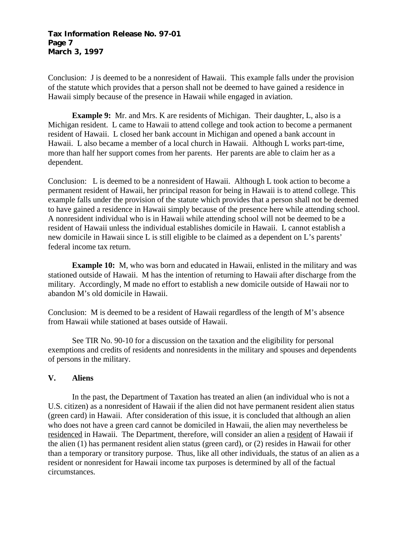## **Tax Information Release No. 97-01 Page 7 March 3, 1997**

Conclusion: J is deemed to be a nonresident of Hawaii. This example falls under the provision of the statute which provides that a person shall not be deemed to have gained a residence in Hawaii simply because of the presence in Hawaii while engaged in aviation.

**Example 9:** Mr. and Mrs. K are residents of Michigan. Their daughter, L, also is a Michigan resident. L came to Hawaii to attend college and took action to become a permanent resident of Hawaii. L closed her bank account in Michigan and opened a bank account in Hawaii. L also became a member of a local church in Hawaii. Although L works part-time, more than half her support comes from her parents. Her parents are able to claim her as a dependent.

Conclusion: L is deemed to be a nonresident of Hawaii. Although L took action to become a permanent resident of Hawaii, her principal reason for being in Hawaii is to attend college. This example falls under the provision of the statute which provides that a person shall not be deemed to have gained a residence in Hawaii simply because of the presence here while attending school. A nonresident individual who is in Hawaii while attending school will not be deemed to be a resident of Hawaii unless the individual establishes domicile in Hawaii. L cannot establish a new domicile in Hawaii since L is still eligible to be claimed as a dependent on L's parents' federal income tax return.

**Example 10:** M, who was born and educated in Hawaii, enlisted in the military and was stationed outside of Hawaii. M has the intention of returning to Hawaii after discharge from the military. Accordingly, M made no effort to establish a new domicile outside of Hawaii nor to abandon M's old domicile in Hawaii.

Conclusion: M is deemed to be a resident of Hawaii regardless of the length of M's absence from Hawaii while stationed at bases outside of Hawaii.

See TIR No. 90-10 for a discussion on the taxation and the eligibility for personal exemptions and credits of residents and nonresidents in the military and spouses and dependents of persons in the military.

# **V. Aliens**

In the past, the Department of Taxation has treated an alien (an individual who is not a U.S. citizen) as a nonresident of Hawaii if the alien did not have permanent resident alien status (green card) in Hawaii. After consideration of this issue, it is concluded that although an alien who does not have a green card cannot be domiciled in Hawaii, the alien may nevertheless be residenced in Hawaii. The Department, therefore, will consider an alien a resident of Hawaii if the alien (1) has permanent resident alien status (green card), or (2) resides in Hawaii for other than a temporary or transitory purpose. Thus, like all other individuals, the status of an alien as a resident or nonresident for Hawaii income tax purposes is determined by all of the factual circumstances.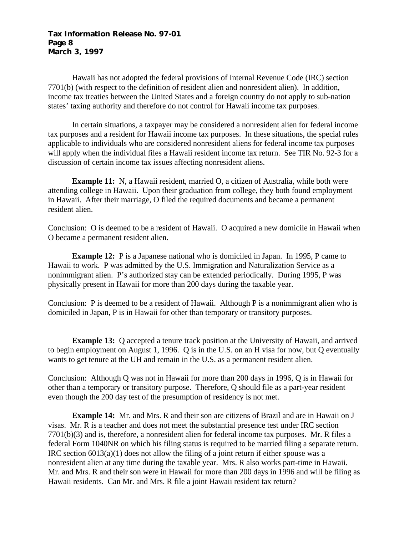#### **Tax Information Release No. 97-01 Page 8 March 3, 1997**

Hawaii has not adopted the federal provisions of Internal Revenue Code (IRC) section 7701(b) (with respect to the definition of resident alien and nonresident alien). In addition, income tax treaties between the United States and a foreign country do not apply to sub-nation states' taxing authority and therefore do not control for Hawaii income tax purposes.

In certain situations, a taxpayer may be considered a nonresident alien for federal income tax purposes and a resident for Hawaii income tax purposes. In these situations, the special rules applicable to individuals who are considered nonresident aliens for federal income tax purposes will apply when the individual files a Hawaii resident income tax return. See TIR No. 92-3 for a discussion of certain income tax issues affecting nonresident aliens.

**Example 11:** N, a Hawaii resident, married O, a citizen of Australia, while both were attending college in Hawaii. Upon their graduation from college, they both found employment in Hawaii. After their marriage, O filed the required documents and became a permanent resident alien.

Conclusion: O is deemed to be a resident of Hawaii. O acquired a new domicile in Hawaii when O became a permanent resident alien.

**Example 12:** P is a Japanese national who is domiciled in Japan. In 1995, P came to Hawaii to work. P was admitted by the U.S. Immigration and Naturalization Service as a nonimmigrant alien. P's authorized stay can be extended periodically. During 1995, P was physically present in Hawaii for more than 200 days during the taxable year.

Conclusion: P is deemed to be a resident of Hawaii. Although P is a nonimmigrant alien who is domiciled in Japan, P is in Hawaii for other than temporary or transitory purposes.

**Example 13:** Q accepted a tenure track position at the University of Hawaii, and arrived to begin employment on August 1, 1996. Q is in the U.S. on an H visa for now, but Q eventually wants to get tenure at the UH and remain in the U.S. as a permanent resident alien.

Conclusion: Although Q was not in Hawaii for more than 200 days in 1996, Q is in Hawaii for other than a temporary or transitory purpose. Therefore, Q should file as a part-year resident even though the 200 day test of the presumption of residency is not met.

**Example 14:** Mr. and Mrs. R and their son are citizens of Brazil and are in Hawaii on J visas. Mr. R is a teacher and does not meet the substantial presence test under IRC section 7701(b)(3) and is, therefore, a nonresident alien for federal income tax purposes. Mr. R files a federal Form 1040NR on which his filing status is required to be married filing a separate return. IRC section 6013(a)(1) does not allow the filing of a joint return if either spouse was a nonresident alien at any time during the taxable year. Mrs. R also works part-time in Hawaii. Mr. and Mrs. R and their son were in Hawaii for more than 200 days in 1996 and will be filing as Hawaii residents. Can Mr. and Mrs. R file a joint Hawaii resident tax return?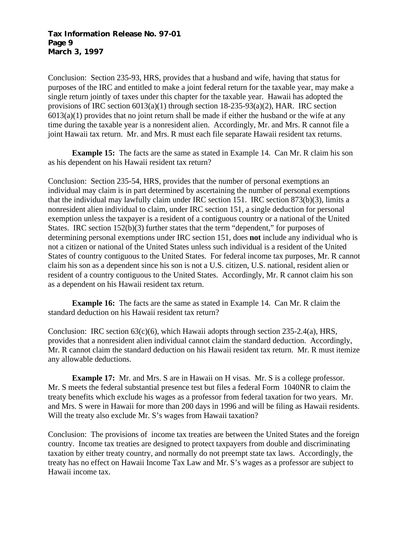## **Tax Information Release No. 97-01 Page 9 March 3, 1997**

Conclusion: Section 235-93, HRS, provides that a husband and wife, having that status for purposes of the IRC and entitled to make a joint federal return for the taxable year, may make a single return jointly of taxes under this chapter for the taxable year. Hawaii has adopted the provisions of IRC section 6013(a)(1) through section 18-235-93(a)(2), HAR. IRC section  $6013(a)(1)$  provides that no joint return shall be made if either the husband or the wife at any time during the taxable year is a nonresident alien. Accordingly, Mr. and Mrs. R cannot file a joint Hawaii tax return. Mr. and Mrs. R must each file separate Hawaii resident tax returns.

**Example 15:** The facts are the same as stated in Example 14. Can Mr. R claim his son as his dependent on his Hawaii resident tax return?

Conclusion: Section 235-54, HRS, provides that the number of personal exemptions an individual may claim is in part determined by ascertaining the number of personal exemptions that the individual may lawfully claim under IRC section 151. IRC section 873(b)(3), limits a nonresident alien individual to claim, under IRC section 151, a single deduction for personal exemption unless the taxpayer is a resident of a contiguous country or a national of the United States. IRC section 152(b)(3) further states that the term "dependent," for purposes of determining personal exemptions under IRC section 151, does **not** include any individual who is not a citizen or national of the United States unless such individual is a resident of the United States of country contiguous to the United States. For federal income tax purposes, Mr. R cannot claim his son as a dependent since his son is not a U.S. citizen, U.S. national, resident alien or resident of a country contiguous to the United States. Accordingly, Mr. R cannot claim his son as a dependent on his Hawaii resident tax return.

**Example 16:** The facts are the same as stated in Example 14. Can Mr. R claim the standard deduction on his Hawaii resident tax return?

Conclusion: IRC section  $63(c)(6)$ , which Hawaii adopts through section  $235-2.4(a)$ , HRS, provides that a nonresident alien individual cannot claim the standard deduction. Accordingly, Mr. R cannot claim the standard deduction on his Hawaii resident tax return. Mr. R must itemize any allowable deductions.

**Example 17:** Mr. and Mrs. S are in Hawaii on H visas. Mr. S is a college professor. Mr. S meets the federal substantial presence test but files a federal Form 1040NR to claim the treaty benefits which exclude his wages as a professor from federal taxation for two years. Mr. and Mrs. S were in Hawaii for more than 200 days in 1996 and will be filing as Hawaii residents. Will the treaty also exclude Mr. S's wages from Hawaii taxation?

Conclusion: The provisions of income tax treaties are between the United States and the foreign country. Income tax treaties are designed to protect taxpayers from double and discriminating taxation by either treaty country, and normally do not preempt state tax laws. Accordingly, the treaty has no effect on Hawaii Income Tax Law and Mr. S's wages as a professor are subject to Hawaii income tax.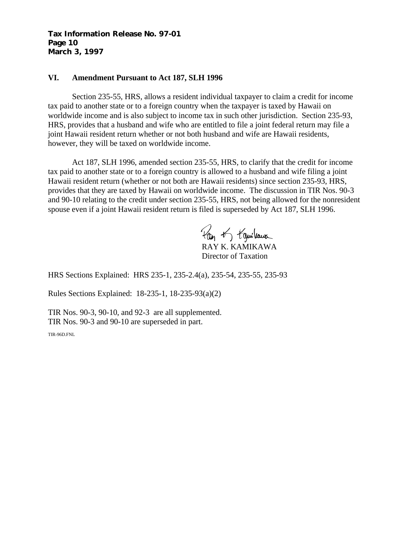#### **Tax Information Release No. 97-01 Page 10 March 3, 1997**

## **VI. Amendment Pursuant to Act 187, SLH 1996**

Section 235-55, HRS, allows a resident individual taxpayer to claim a credit for income tax paid to another state or to a foreign country when the taxpayer is taxed by Hawaii on worldwide income and is also subject to income tax in such other jurisdiction. Section 235-93, HRS, provides that a husband and wife who are entitled to file a joint federal return may file a joint Hawaii resident return whether or not both husband and wife are Hawaii residents, however, they will be taxed on worldwide income.

Act 187, SLH 1996, amended section 235-55, HRS, to clarify that the credit for income tax paid to another state or to a foreign country is allowed to a husband and wife filing a joint Hawaii resident return (whether or not both are Hawaii residents) since section 235-93, HRS, provides that they are taxed by Hawaii on worldwide income. The discussion in TIR Nos. 90-3 and 90-10 relating to the credit under section 235-55, HRS, not being allowed for the nonresident spouse even if a joint Hawaii resident return is filed is superseded by Act 187, SLH 1996.

Pro of toguitaux RAY K. KAMIKAWA Director of Taxation

HRS Sections Explained: HRS [235-1,](#page-5-0) [235-2.4\(a\),](#page-18-0) [235-54, 235-55,](#page-45-0) [235-93](#page-59-0)

Rules Sections Explained: [18-235-1,](#page-3-0) [18-235-93\(a\)\(2\)](#page-94-0)

TIR Nos[. 90-3,](#page-0-0) [90-10,](#page-0-1) and [92-3](#page-0-2) are all supplemented. TIR Nos[. 90-3 a](#page-0-0)nd [90-10 a](#page-0-1)re superseded in part.

TIR-96D.FNL